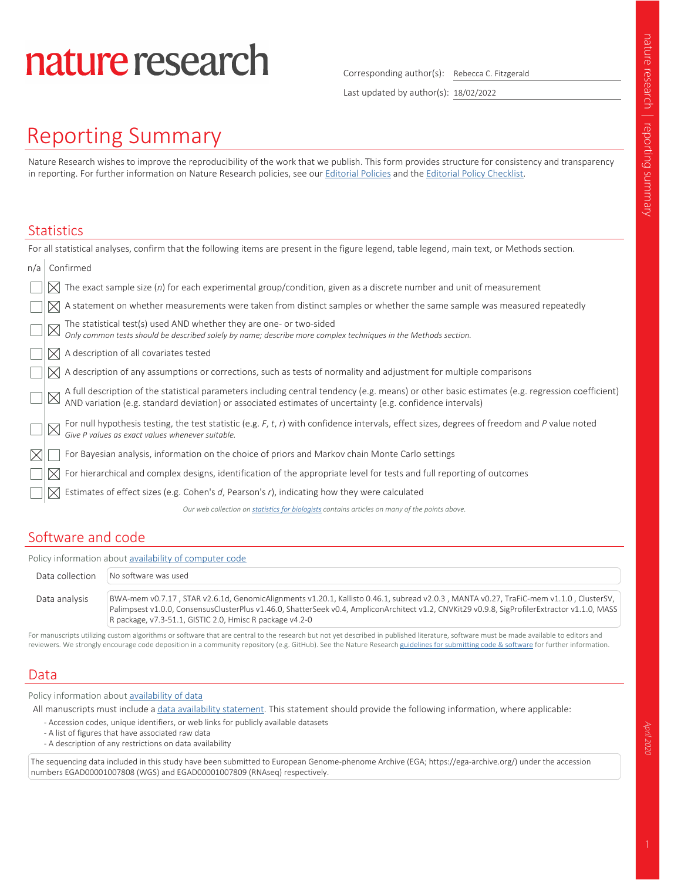# nature research

Corresponding author(s): Rebecca C. Fitzgerald

Last updated by author(s): 18/02/2022

## Reporting Summary

Nature Research wishes to improve the reproducibility of the work that we publish. This form provides structure for consistency and transparency in reporting. For further information on Nature Research policies, see our Editorial Policies and the Editorial Policy Checklist.

#### **Statistics**

| For all statistical analyses, confirm that the following items are present in the figure legend, table legend, main text, or Methods section. |  |                                                                                                                                                                                                                                |  |  |  |
|-----------------------------------------------------------------------------------------------------------------------------------------------|--|--------------------------------------------------------------------------------------------------------------------------------------------------------------------------------------------------------------------------------|--|--|--|
| n/a                                                                                                                                           |  | Confirmed                                                                                                                                                                                                                      |  |  |  |
|                                                                                                                                               |  | The exact sample size $(n)$ for each experimental group/condition, given as a discrete number and unit of measurement                                                                                                          |  |  |  |
|                                                                                                                                               |  | A statement on whether measurements were taken from distinct samples or whether the same sample was measured repeatedly                                                                                                        |  |  |  |
|                                                                                                                                               |  | The statistical test(s) used AND whether they are one- or two-sided<br>Only common tests should be described solely by name; describe more complex techniques in the Methods section.                                          |  |  |  |
|                                                                                                                                               |  | A description of all covariates tested                                                                                                                                                                                         |  |  |  |
|                                                                                                                                               |  | A description of any assumptions or corrections, such as tests of normality and adjustment for multiple comparisons                                                                                                            |  |  |  |
|                                                                                                                                               |  | A full description of the statistical parameters including central tendency (e.g. means) or other basic estimates (e.g. regression coefficient) AND variation (e.g. standard deviation) or associated estimates of uncertainty |  |  |  |
|                                                                                                                                               |  | For null hypothesis testing, the test statistic (e.g. F, t, r) with confidence intervals, effect sizes, degrees of freedom and P value noted Give P values as exact values whenever suitable.                                  |  |  |  |
| IX                                                                                                                                            |  | For Bayesian analysis, information on the choice of priors and Markov chain Monte Carlo settings                                                                                                                               |  |  |  |
|                                                                                                                                               |  | For hierarchical and complex designs, identification of the appropriate level for tests and full reporting of outcomes                                                                                                         |  |  |  |
|                                                                                                                                               |  | Estimates of effect sizes (e.g. Cohen's d, Pearson's r), indicating how they were calculated                                                                                                                                   |  |  |  |
|                                                                                                                                               |  | Our web collection on statistics for biologists contains articles on many of the points above.                                                                                                                                 |  |  |  |
|                                                                                                                                               |  |                                                                                                                                                                                                                                |  |  |  |

### Software and code

| Policy information about availability of computer code |                                                                                                                                                                                                                                                                                                                                                    |  |  |  |  |  |
|--------------------------------------------------------|----------------------------------------------------------------------------------------------------------------------------------------------------------------------------------------------------------------------------------------------------------------------------------------------------------------------------------------------------|--|--|--|--|--|
| Data collection                                        | No software was used                                                                                                                                                                                                                                                                                                                               |  |  |  |  |  |
| Data analysis                                          | BWA-mem v0.7.17, STAR v2.6.1d, GenomicAlignments v1.20.1, Kallisto 0.46.1, subread v2.0.3, MANTA v0.27, TraFiC-mem v1.1.0, ClusterSV,<br>Palimpsest v1.0.0, ConsensusClusterPlus v1.46.0, ShatterSeek v0.4, AmpliconArchitect v1.2, CNVKit29 v0.9.8, SigProfilerExtractor v1.1.0, MASS<br>R package, v7.3-51.1, GISTIC 2.0, Hmisc R package v4.2-0 |  |  |  |  |  |

For manuscripts utilizing custom algorithms or software that are central to the research but not yet described in published literature, software must be made available to editors and reviewers. We strongly encourage code deposition in a community repository (e.g. GitHub). See the Nature Research guidelines for submitting code & software for further information.

#### Data

Policy information about availability of data

All manuscripts must include a data availability statement. This statement should provide the following information, where applicable:

- Accession codes, unique identifiers, or web links for publicly available datasets
- A list of figures that have associated raw data
- A description of any restrictions on data availability

The sequencing data included in this study have been submitted to European Genome-phenome Archive (EGA; https://ega-archive.org/) under the accession numbers EGAD00001007808 (WGS) and EGAD00001007809 (RNAseq) respectively.